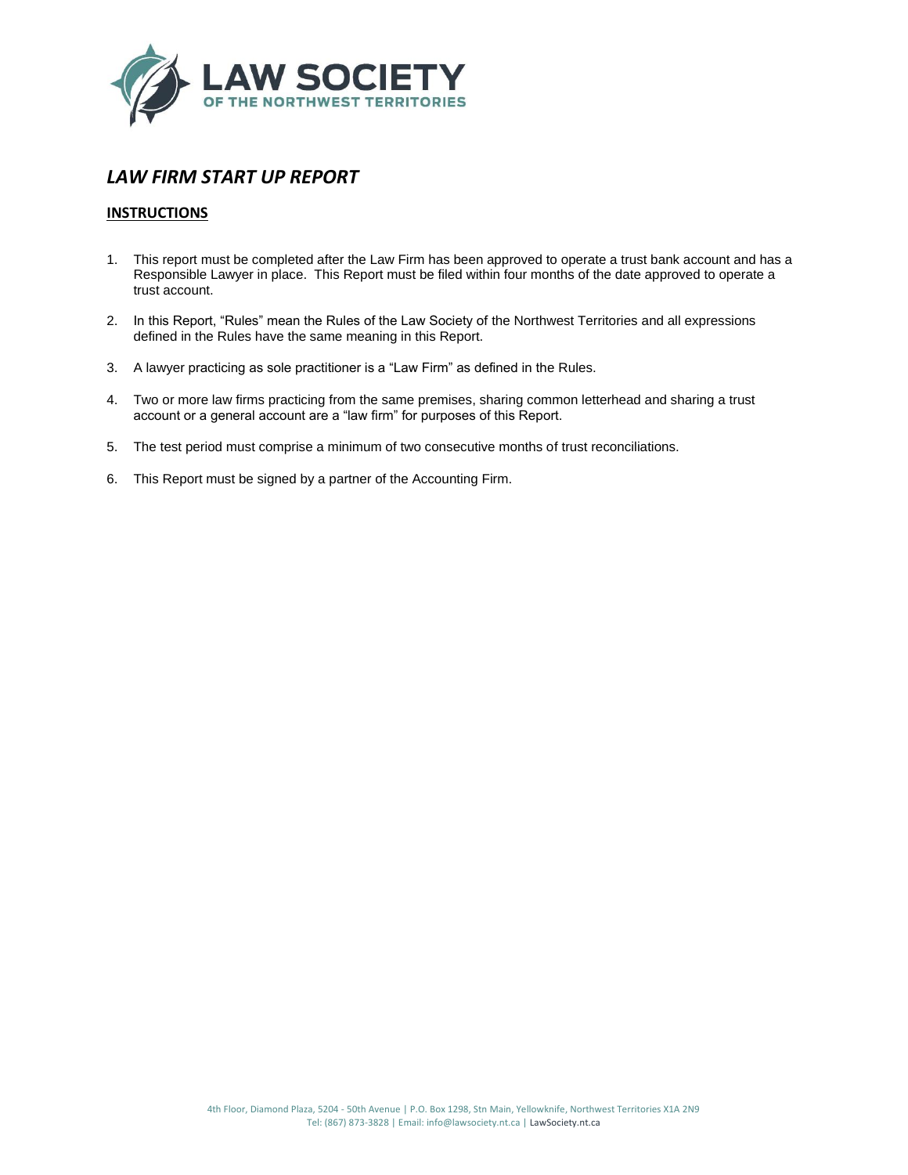

# *LAW FIRM START UP REPORT*

# **INSTRUCTIONS**

- 1. This report must be completed after the Law Firm has been approved to operate a trust bank account and has a Responsible Lawyer in place. This Report must be filed within four months of the date approved to operate a trust account.
- 2. In this Report, "Rules" mean the Rules of the Law Society of the Northwest Territories and all expressions defined in the Rules have the same meaning in this Report.
- 3. A lawyer practicing as sole practitioner is a "Law Firm" as defined in the Rules.
- 4. Two or more law firms practicing from the same premises, sharing common letterhead and sharing a trust account or a general account are a "law firm" for purposes of this Report.
- 5. The test period must comprise a minimum of two consecutive months of trust reconciliations.
- 6. This Report must be signed by a partner of the Accounting Firm.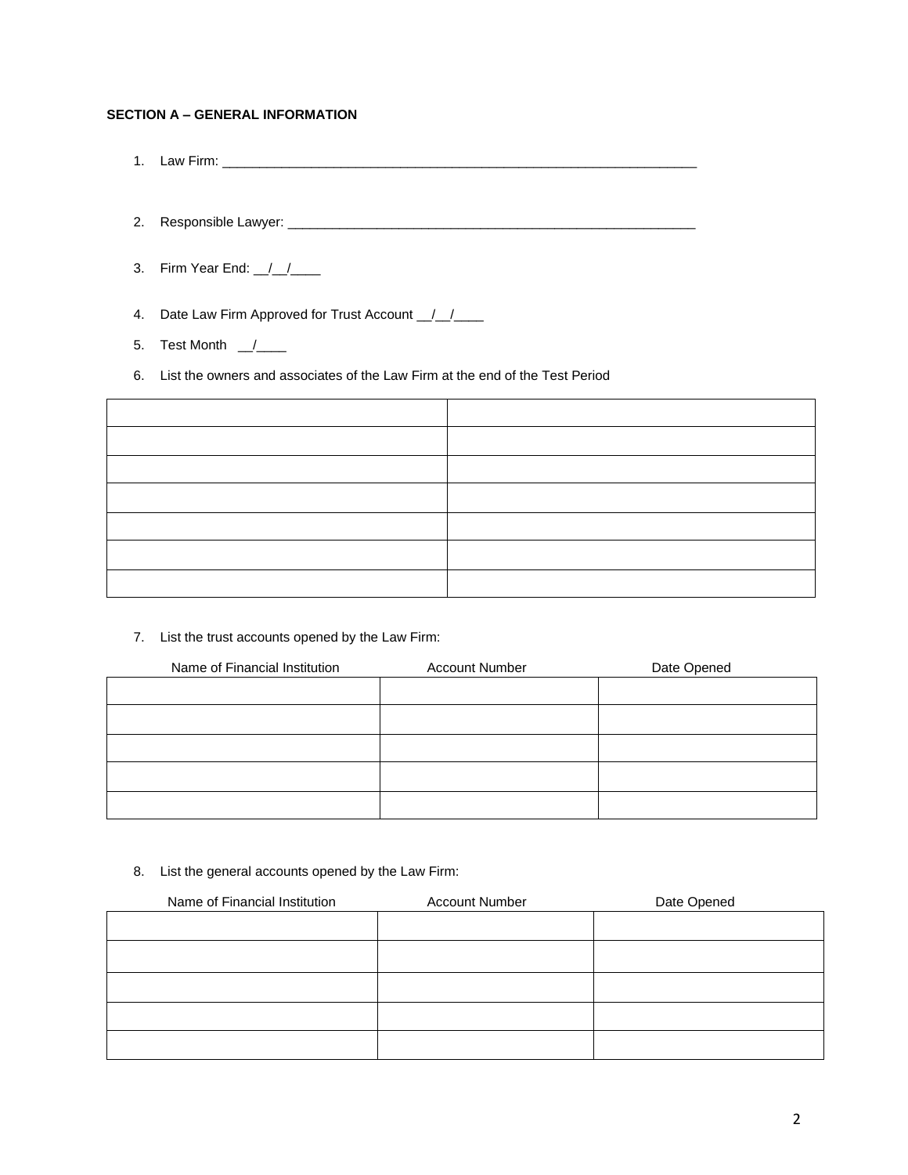# **SECTION A – GENERAL INFORMATION**

- 1. Law Firm: \_\_\_\_\_\_\_\_\_\_\_\_\_\_\_\_\_\_\_\_\_\_\_\_\_\_\_\_\_\_\_\_\_\_\_\_\_\_\_\_\_\_\_\_\_\_\_\_\_\_\_\_\_\_\_\_\_\_\_\_\_\_\_\_
- 2. Responsible Lawyer: \_\_\_\_\_\_\_\_\_\_\_\_\_\_\_\_\_\_\_\_\_\_\_\_\_\_\_\_\_\_\_\_\_\_\_\_\_\_\_\_\_\_\_\_\_\_\_\_\_\_\_\_\_\_\_
- 3. Firm Year End: \_\_/\_\_/\_\_\_\_

4. Date Law Firm Approved for Trust Account \_/\_/\_\_\_

- 5. Test Month  $\frac{1}{2}$
- 6. List the owners and associates of the Law Firm at the end of the Test Period

7. List the trust accounts opened by the Law Firm:

| Name of Financial Institution | <b>Account Number</b> | Date Opened |
|-------------------------------|-----------------------|-------------|
|                               |                       |             |
|                               |                       |             |
|                               |                       |             |
|                               |                       |             |
|                               |                       |             |

8. List the general accounts opened by the Law Firm:

| Name of Financial Institution | <b>Account Number</b> | Date Opened |
|-------------------------------|-----------------------|-------------|
|                               |                       |             |
|                               |                       |             |
|                               |                       |             |
|                               |                       |             |
|                               |                       |             |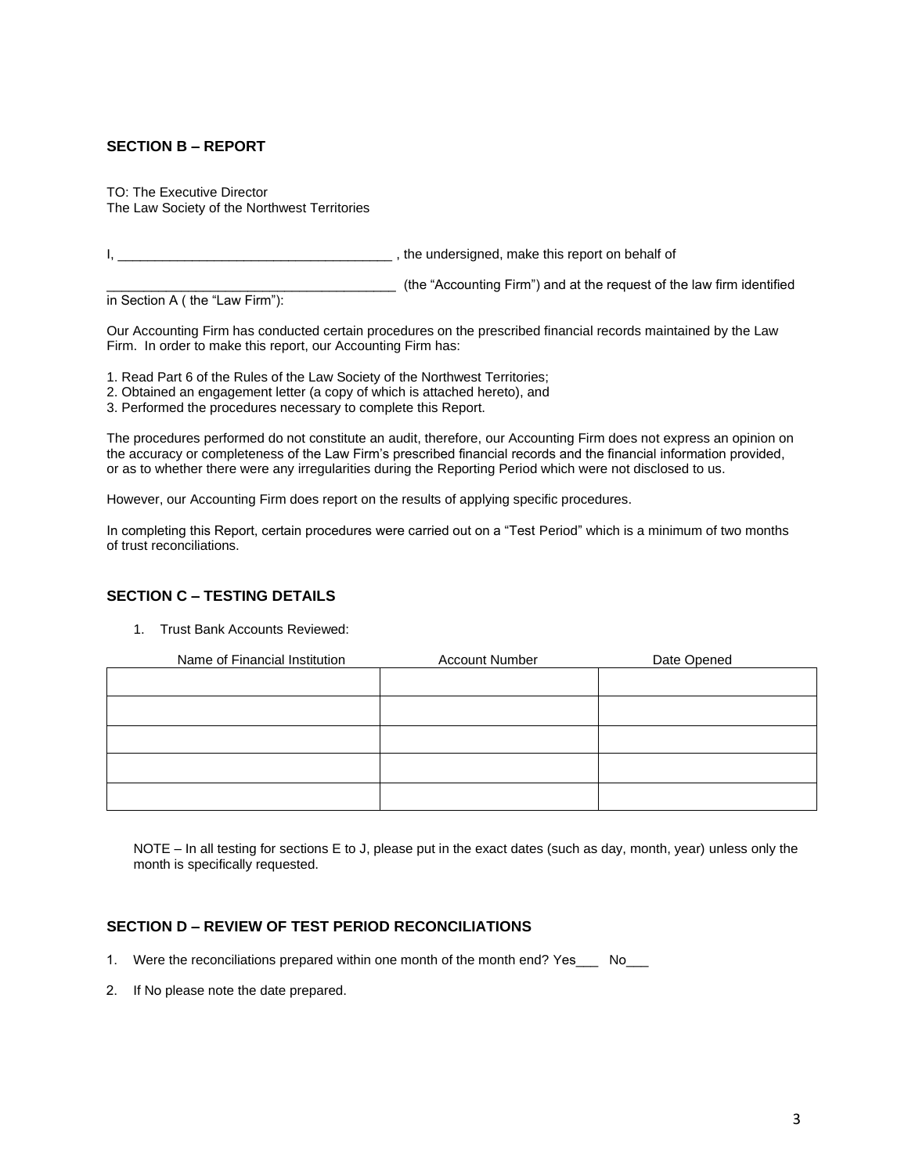# **SECTION B – REPORT**

TO: The Executive Director The Law Society of the Northwest Territories

I, \_\_\_\_\_\_\_\_\_\_\_\_\_\_\_\_\_\_\_\_\_\_\_\_\_\_\_\_\_\_\_\_\_\_\_\_\_ , the undersigned, make this report on behalf of

\_\_\_\_\_\_\_\_\_\_\_\_\_\_\_\_\_\_\_\_\_\_\_\_\_\_\_\_\_\_\_\_\_\_\_\_\_\_\_ (the "Accounting Firm") and at the request of the law firm identified

in Section A ( the "Law Firm"):

Our Accounting Firm has conducted certain procedures on the prescribed financial records maintained by the Law Firm. In order to make this report, our Accounting Firm has:

1. Read Part 6 of the Rules of the Law Society of the Northwest Territories;

- 2. Obtained an engagement letter (a copy of which is attached hereto), and
- 3. Performed the procedures necessary to complete this Report.

The procedures performed do not constitute an audit, therefore, our Accounting Firm does not express an opinion on the accuracy or completeness of the Law Firm's prescribed financial records and the financial information provided, or as to whether there were any irregularities during the Reporting Period which were not disclosed to us.

However, our Accounting Firm does report on the results of applying specific procedures.

In completing this Report, certain procedures were carried out on a "Test Period" which is a minimum of two months of trust reconciliations.

# **SECTION C – TESTING DETAILS**

1. Trust Bank Accounts Reviewed:

| Name of Financial Institution | <b>Account Number</b> | Date Opened |
|-------------------------------|-----------------------|-------------|
|                               |                       |             |
|                               |                       |             |
|                               |                       |             |
|                               |                       |             |
|                               |                       |             |

NOTE – In all testing for sections E to J, please put in the exact dates (such as day, month, year) unless only the month is specifically requested.

### **SECTION D – REVIEW OF TEST PERIOD RECONCILIATIONS**

- 1. Were the reconciliations prepared within one month of the month end? Yes No
- 2. If No please note the date prepared.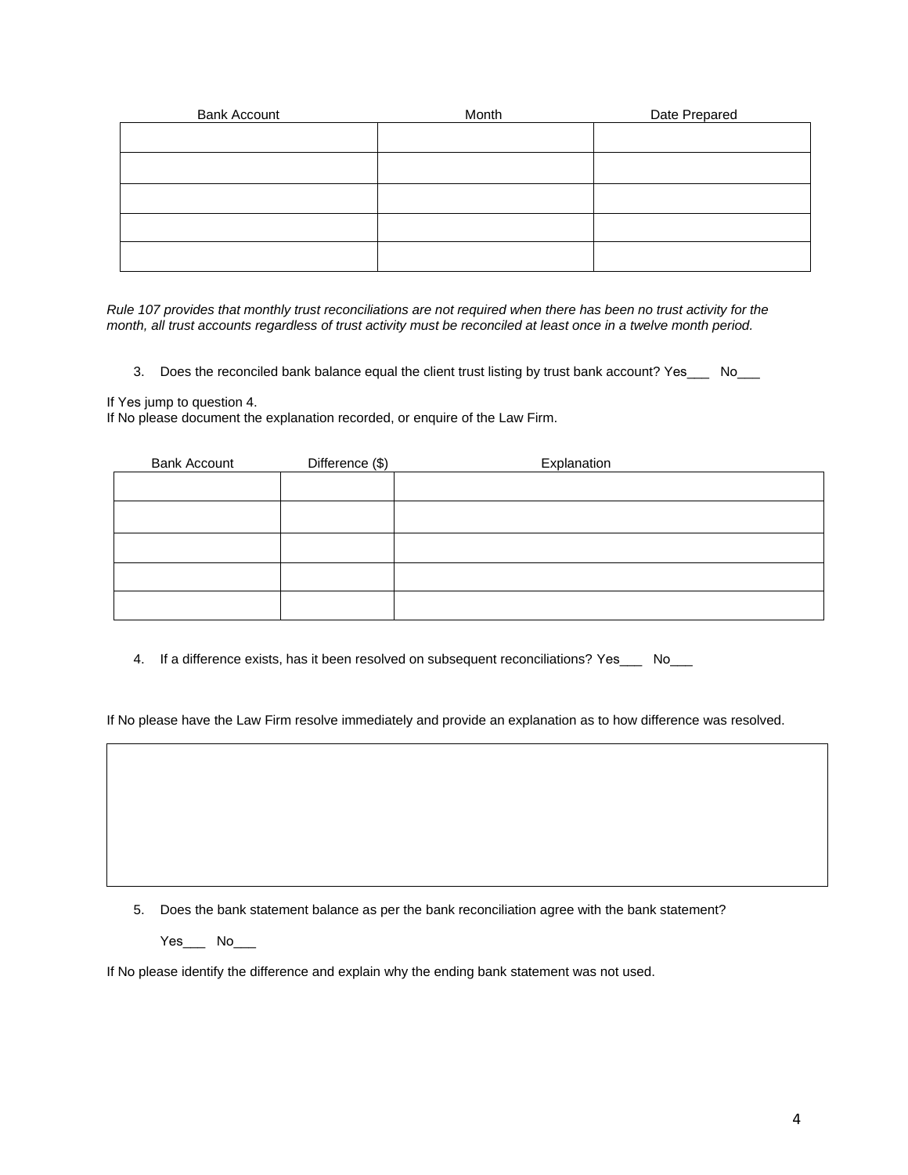| <b>Bank Account</b> | Month | Date Prepared |
|---------------------|-------|---------------|
|                     |       |               |
|                     |       |               |
|                     |       |               |
|                     |       |               |
|                     |       |               |

*Rule 107 provides that monthly trust reconciliations are not required when there has been no trust activity for the month, all trust accounts regardless of trust activity must be reconciled at least once in a twelve month period.*

3. Does the reconciled bank balance equal the client trust listing by trust bank account? Yes\_\_\_ No\_\_\_

If Yes jump to question 4.

If No please document the explanation recorded, or enquire of the Law Firm.

| <b>Bank Account</b> | Difference (\$) | Explanation |
|---------------------|-----------------|-------------|
|                     |                 |             |
|                     |                 |             |
|                     |                 |             |
|                     |                 |             |
|                     |                 |             |

4. If a difference exists, has it been resolved on subsequent reconciliations? Yes\_\_\_ No\_\_\_

If No please have the Law Firm resolve immediately and provide an explanation as to how difference was resolved.

5. Does the bank statement balance as per the bank reconciliation agree with the bank statement?

Yes\_\_\_ No\_\_\_

If No please identify the difference and explain why the ending bank statement was not used.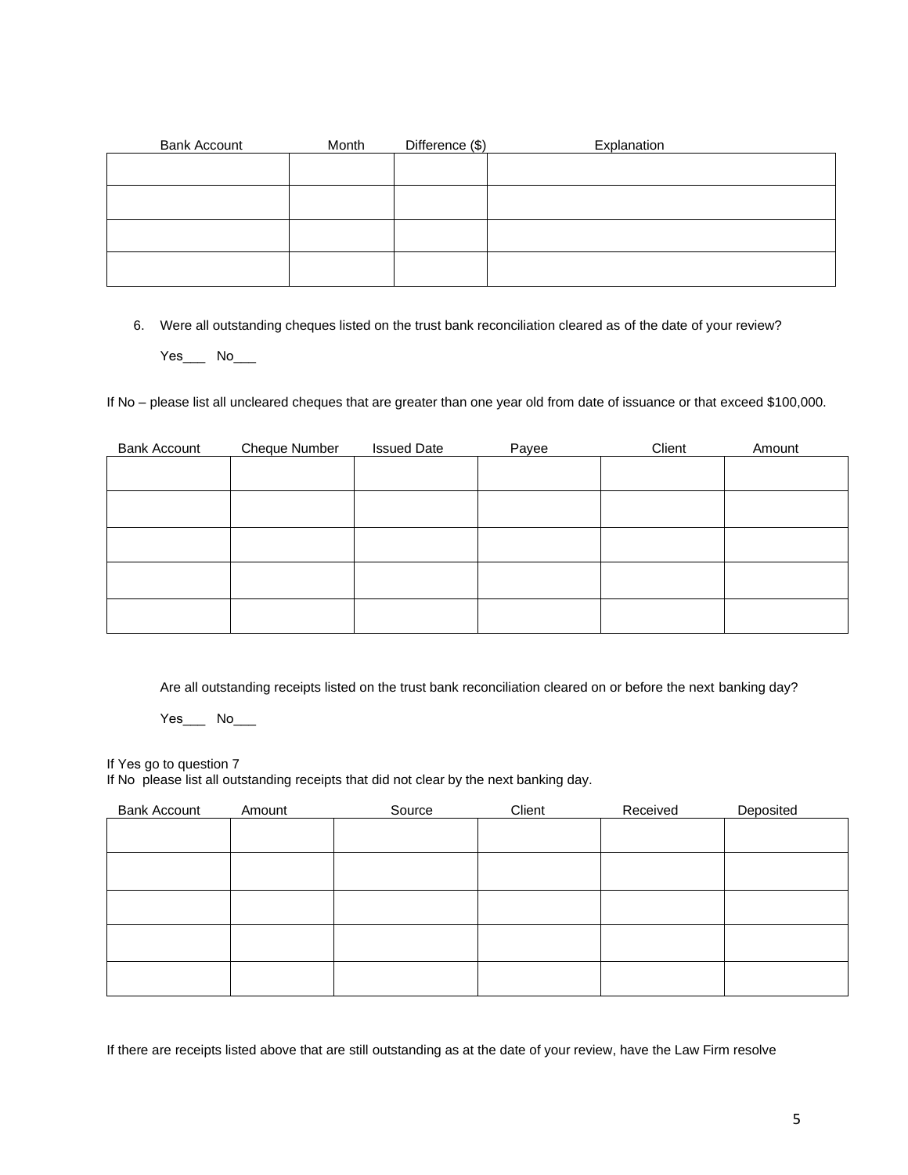| <b>Bank Account</b> | Month | Difference (\$) | Explanation |
|---------------------|-------|-----------------|-------------|
|                     |       |                 |             |
|                     |       |                 |             |
|                     |       |                 |             |
|                     |       |                 |             |
|                     |       |                 |             |
|                     |       |                 |             |
|                     |       |                 |             |
|                     |       |                 |             |
|                     |       |                 |             |

6. Were all outstanding cheques listed on the trust bank reconciliation cleared as of the date of your review? Yes<sub>.</sub> No\_\_\_

If No – please list all uncleared cheques that are greater than one year old from date of issuance or that exceed \$100,000.

| <b>Bank Account</b> | Cheque Number | <b>Issued Date</b> | Payee | Client | Amount |
|---------------------|---------------|--------------------|-------|--------|--------|
|                     |               |                    |       |        |        |
|                     |               |                    |       |        |        |
|                     |               |                    |       |        |        |
|                     |               |                    |       |        |        |
|                     |               |                    |       |        |        |

Are all outstanding receipts listed on the trust bank reconciliation cleared on or before the next banking day?

Yes\_\_\_ No\_\_\_

If Yes go to question 7

If No please list all outstanding receipts that did not clear by the next banking day.

| <b>Bank Account</b> | Amount | Source | Client | Received | Deposited |
|---------------------|--------|--------|--------|----------|-----------|
|                     |        |        |        |          |           |
|                     |        |        |        |          |           |
|                     |        |        |        |          |           |
|                     |        |        |        |          |           |
|                     |        |        |        |          |           |
|                     |        |        |        |          |           |

If there are receipts listed above that are still outstanding as at the date of your review, have the Law Firm resolve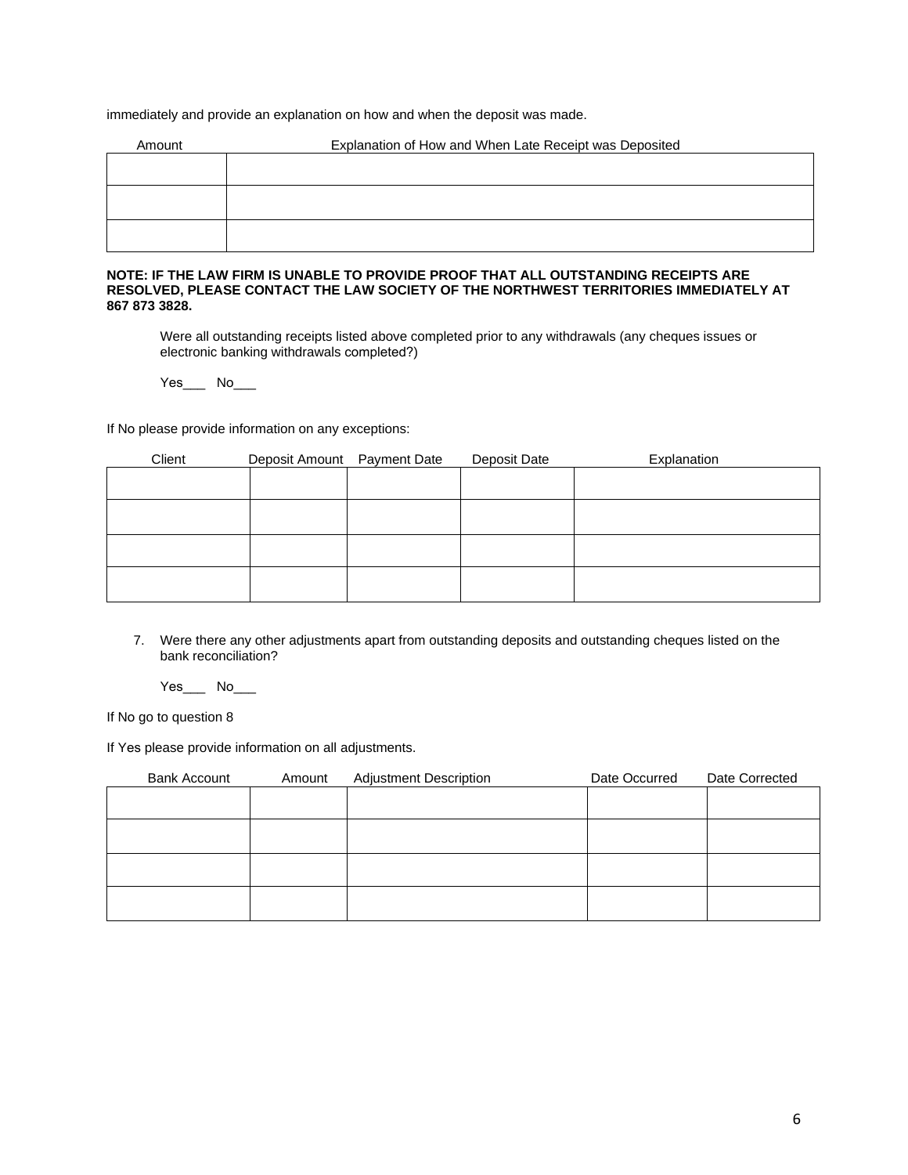immediately and provide an explanation on how and when the deposit was made.

| Amount | Explanation of How and When Late Receipt was Deposited |  |  |  |  |
|--------|--------------------------------------------------------|--|--|--|--|
|        |                                                        |  |  |  |  |
|        |                                                        |  |  |  |  |
|        |                                                        |  |  |  |  |
|        |                                                        |  |  |  |  |
|        |                                                        |  |  |  |  |

#### **NOTE: IF THE LAW FIRM IS UNABLE TO PROVIDE PROOF THAT ALL OUTSTANDING RECEIPTS ARE RESOLVED, PLEASE CONTACT THE LAW SOCIETY OF THE NORTHWEST TERRITORIES IMMEDIATELY AT 867 873 3828.**

Were all outstanding receipts listed above completed prior to any withdrawals (any cheques issues or electronic banking withdrawals completed?)

Yes\_\_\_ No\_\_\_

If No please provide information on any exceptions:

| Client | Deposit Amount Payment Date | Deposit Date | Explanation |
|--------|-----------------------------|--------------|-------------|
|        |                             |              |             |
|        |                             |              |             |
|        |                             |              |             |
|        |                             |              |             |
|        |                             |              |             |
|        |                             |              |             |
|        |                             |              |             |
|        |                             |              |             |

7. Were there any other adjustments apart from outstanding deposits and outstanding cheques listed on the bank reconciliation?

 $Yes$   $No$   $\qquad$ 

If No go to question 8

If Yes please provide information on all adjustments.

| <b>Bank Account</b> | Amount | <b>Adjustment Description</b> | Date Occurred | Date Corrected |
|---------------------|--------|-------------------------------|---------------|----------------|
|                     |        |                               |               |                |
|                     |        |                               |               |                |
|                     |        |                               |               |                |
|                     |        |                               |               |                |
|                     |        |                               |               |                |
|                     |        |                               |               |                |
|                     |        |                               |               |                |
|                     |        |                               |               |                |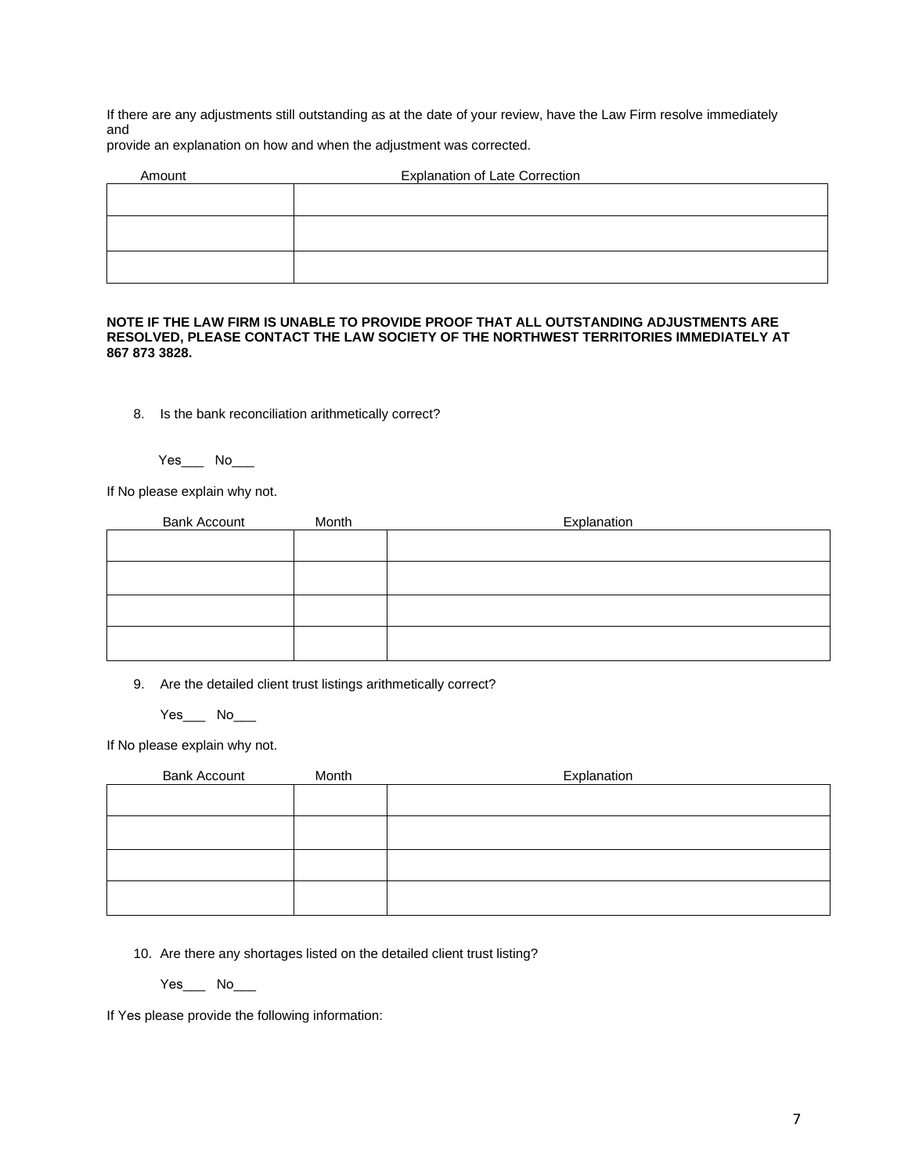If there are any adjustments still outstanding as at the date of your review, have the Law Firm resolve immediately and

provide an explanation on how and when the adjustment was corrected.

| Amount | <b>Explanation of Late Correction</b> |
|--------|---------------------------------------|
|        |                                       |
|        |                                       |
|        |                                       |
|        |                                       |
|        |                                       |

#### **NOTE IF THE LAW FIRM IS UNABLE TO PROVIDE PROOF THAT ALL OUTSTANDING ADJUSTMENTS ARE RESOLVED, PLEASE CONTACT THE LAW SOCIETY OF THE NORTHWEST TERRITORIES IMMEDIATELY AT 867 873 3828.**

8. Is the bank reconciliation arithmetically correct?

Yes\_\_\_ No\_\_\_

If No please explain why not.

| <b>Bank Account</b> | Month | Explanation |
|---------------------|-------|-------------|
|                     |       |             |
|                     |       |             |
|                     |       |             |
|                     |       |             |
|                     |       |             |
|                     |       |             |
|                     |       |             |
|                     |       |             |
|                     |       |             |

9. Are the detailed client trust listings arithmetically correct?

Yes\_\_\_ No\_\_\_

If No please explain why not.

| <b>Bank Account</b> | Month | Explanation |
|---------------------|-------|-------------|
|                     |       |             |
|                     |       |             |
|                     |       |             |
|                     |       |             |
|                     |       |             |
|                     |       |             |
|                     |       |             |
|                     |       |             |
|                     |       |             |

10. Are there any shortages listed on the detailed client trust listing?

Yes\_\_\_ No\_\_\_

If Yes please provide the following information: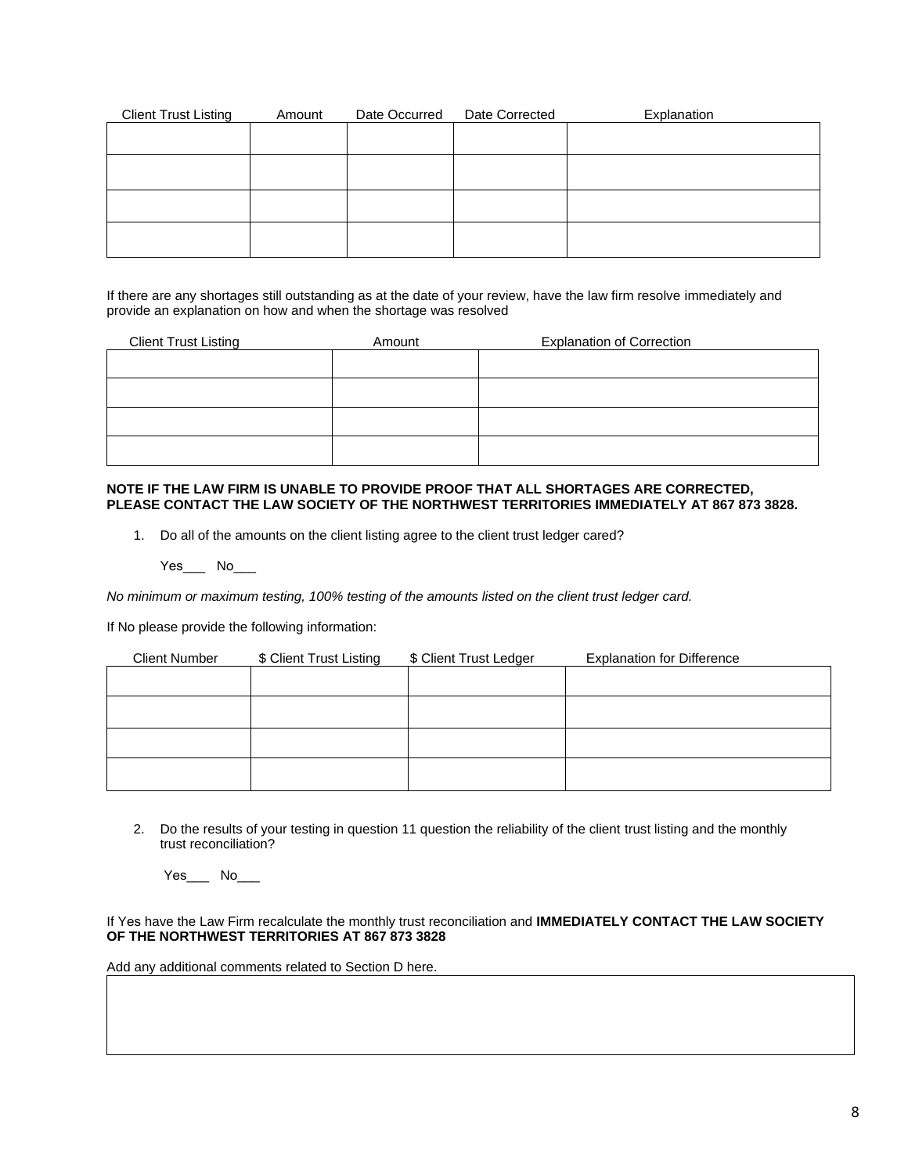| <b>Client Trust Listing</b> | Amount | Date Occurred | Date Corrected | Explanation |
|-----------------------------|--------|---------------|----------------|-------------|
|                             |        |               |                |             |
|                             |        |               |                |             |
|                             |        |               |                |             |
|                             |        |               |                |             |
|                             |        |               |                |             |
|                             |        |               |                |             |
|                             |        |               |                |             |
|                             |        |               |                |             |

If there are any shortages still outstanding as at the date of your review, have the law firm resolve immediately and provide an explanation on how and when the shortage was resolved

| <b>Client Trust Listing</b> | Amount | <b>Explanation of Correction</b> |
|-----------------------------|--------|----------------------------------|
|                             |        |                                  |
|                             |        |                                  |
|                             |        |                                  |
|                             |        |                                  |
|                             |        |                                  |
|                             |        |                                  |

### **NOTE IF THE LAW FIRM IS UNABLE TO PROVIDE PROOF THAT ALL SHORTAGES ARE CORRECTED, PLEASE CONTACT THE LAW SOCIETY OF THE NORTHWEST TERRITORIES IMMEDIATELY AT 867 873 3828.**

1. Do all of the amounts on the client listing agree to the client trust ledger cared?

Yes\_\_\_ No\_\_\_

*No minimum or maximum testing, 100% testing of the amounts listed on the client trust ledger card.* 

If No please provide the following information:

| <b>Client Number</b> | \$ Client Trust Listing | \$ Client Trust Ledger | <b>Explanation for Difference</b> |
|----------------------|-------------------------|------------------------|-----------------------------------|
|                      |                         |                        |                                   |
|                      |                         |                        |                                   |
|                      |                         |                        |                                   |
|                      |                         |                        |                                   |
|                      |                         |                        |                                   |

2. Do the results of your testing in question 11 question the reliability of the client trust listing and the monthly trust reconciliation?

Yes\_\_\_\_ No\_\_\_

If Yes have the Law Firm recalculate the monthly trust reconciliation and **IMMEDIATELY CONTACT THE LAW SOCIETY OF THE NORTHWEST TERRITORIES AT 867 873 3828** 

Add any additional comments related to Section D here.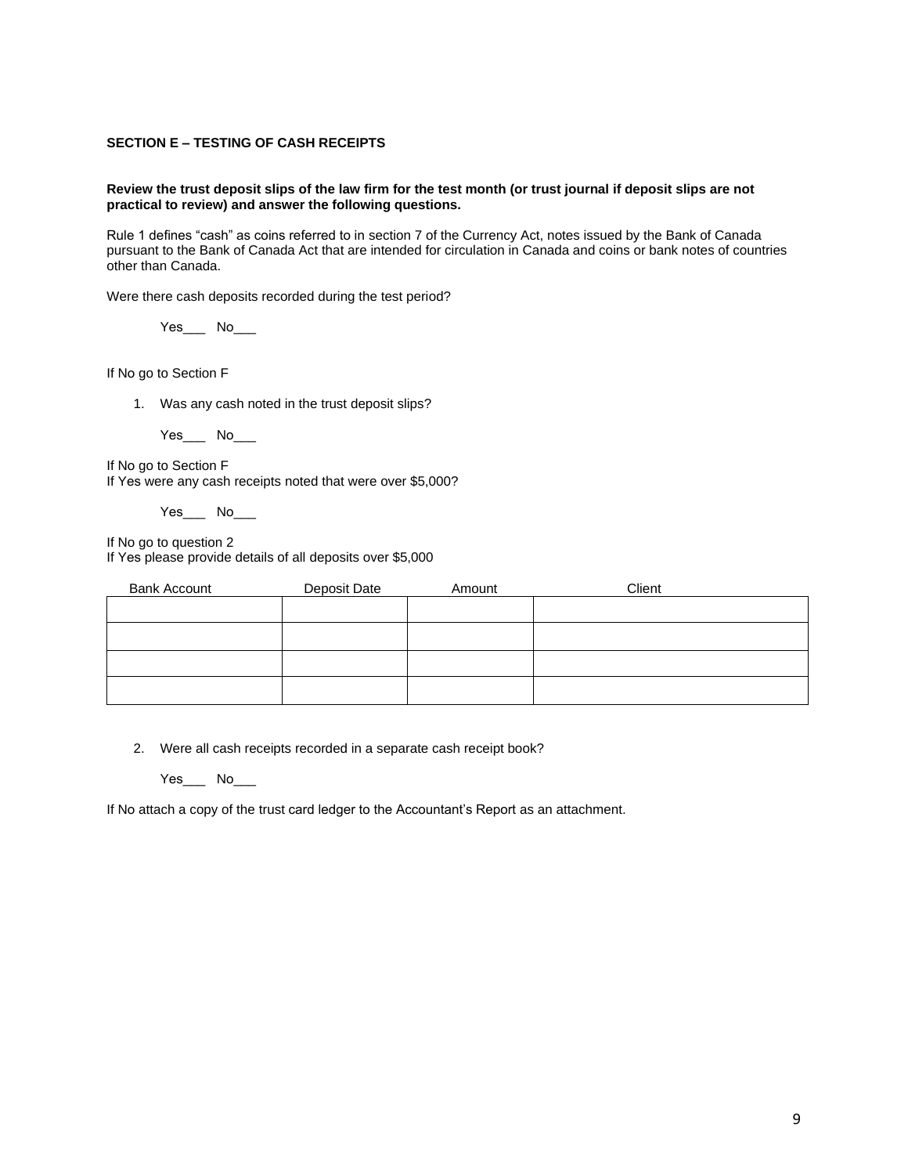### **SECTION E – TESTING OF CASH RECEIPTS**

#### **Review the trust deposit slips of the law firm for the test month (or trust journal if deposit slips are not practical to review) and answer the following questions.**

Rule 1 defines "cash" as coins referred to in section 7 of the Currency Act, notes issued by the Bank of Canada pursuant to the Bank of Canada Act that are intended for circulation in Canada and coins or bank notes of countries other than Canada.

Were there cash deposits recorded during the test period?

 $Yes$  No  $\qquad$ 

If No go to Section F

1. Was any cash noted in the trust deposit slips?

Yes\_\_\_\_ No\_\_\_

If No go to Section F If Yes were any cash receipts noted that were over \$5,000?

 $Yes$  No\_\_\_\_\_

If No go to question 2 If Yes please provide details of all deposits over \$5,000

| <b>Bank Account</b> | Deposit Date | Amount | Client |
|---------------------|--------------|--------|--------|
|                     |              |        |        |
|                     |              |        |        |
|                     |              |        |        |
|                     |              |        |        |

2. Were all cash receipts recorded in a separate cash receipt book?

 $Yes$  No $\Box$ 

If No attach a copy of the trust card ledger to the Accountant's Report as an attachment.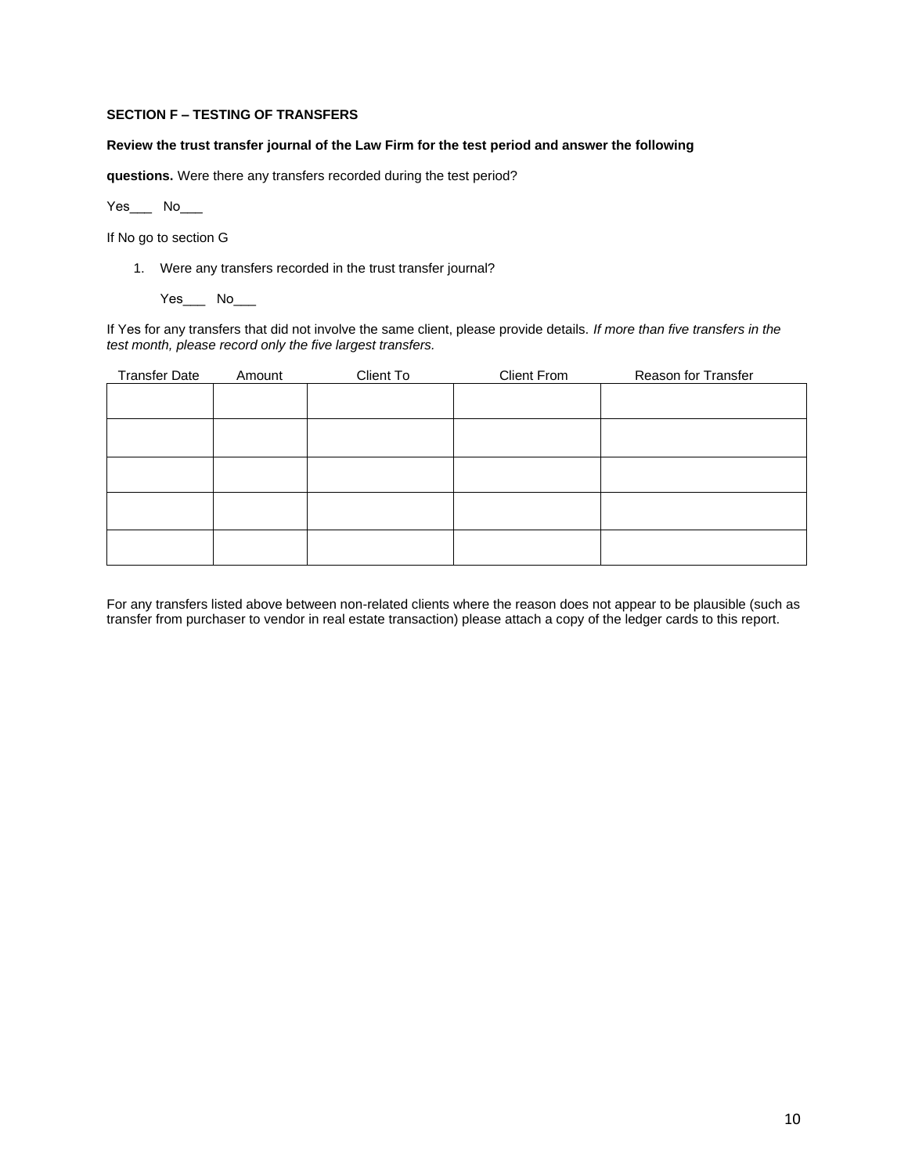### **SECTION F – TESTING OF TRANSFERS**

### **Review the trust transfer journal of the Law Firm for the test period and answer the following**

**questions.** Were there any transfers recorded during the test period?

Yes\_\_\_ No\_\_\_

If No go to section G

1. Were any transfers recorded in the trust transfer journal?

Yes\_\_\_ No\_\_\_

If Yes for any transfers that did not involve the same client, please provide details. *If more than five transfers in the test month, please record only the five largest transfers.* 

| <b>Transfer Date</b> | Amount | Client To | <b>Client From</b> | Reason for Transfer |
|----------------------|--------|-----------|--------------------|---------------------|
|                      |        |           |                    |                     |
|                      |        |           |                    |                     |
|                      |        |           |                    |                     |
|                      |        |           |                    |                     |
|                      |        |           |                    |                     |
|                      |        |           |                    |                     |
|                      |        |           |                    |                     |
|                      |        |           |                    |                     |
|                      |        |           |                    |                     |
|                      |        |           |                    |                     |

For any transfers listed above between non-related clients where the reason does not appear to be plausible (such as transfer from purchaser to vendor in real estate transaction) please attach a copy of the ledger cards to this report.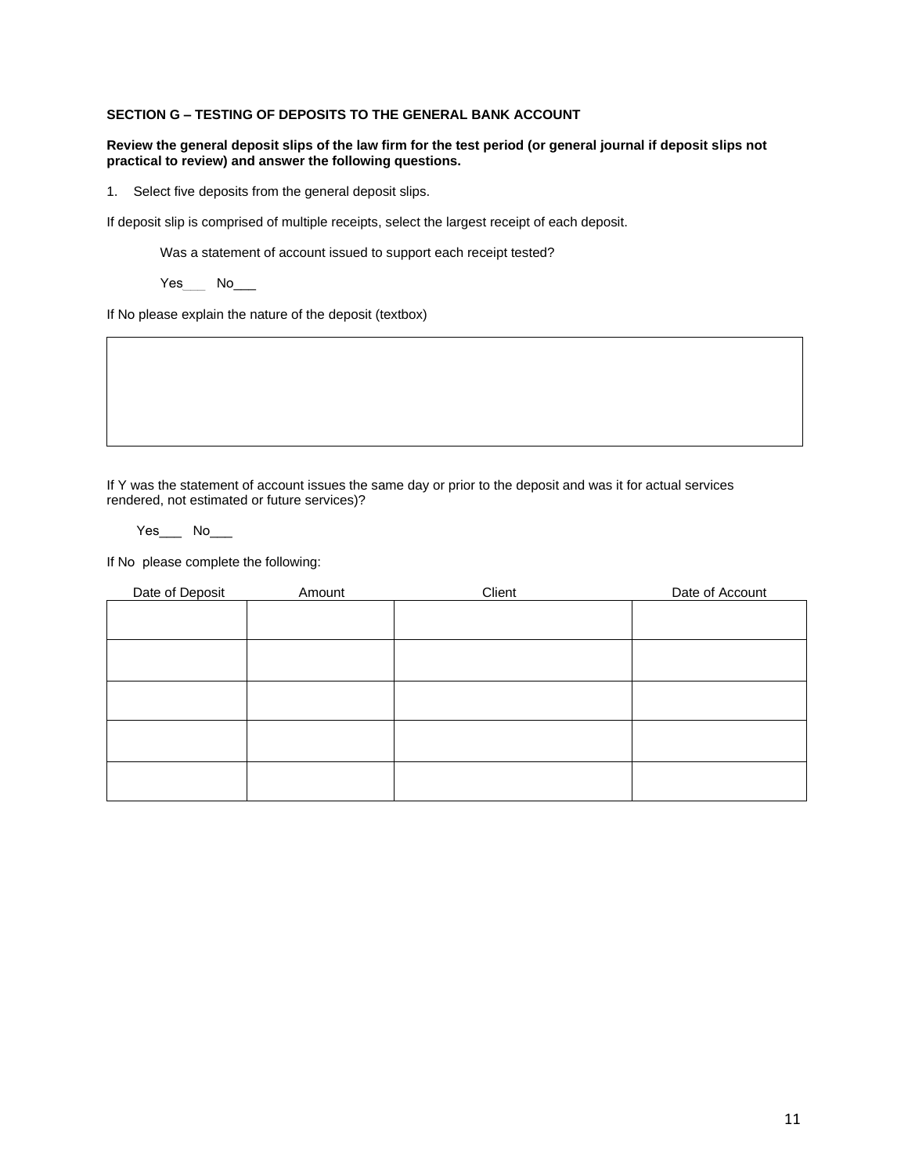### **SECTION G – TESTING OF DEPOSITS TO THE GENERAL BANK ACCOUNT**

#### **Review the general deposit slips of the law firm for the test period (or general journal if deposit slips not practical to review) and answer the following questions.**

1. Select five deposits from the general deposit slips.

If deposit slip is comprised of multiple receipts, select the largest receipt of each deposit.

Was a statement of account issued to support each receipt tested?

Yes No\_\_\_

If No please explain the nature of the deposit (textbox)

If Y was the statement of account issues the same day or prior to the deposit and was it for actual services rendered, not estimated or future services)?

Yes\_\_\_ No\_\_\_

If No please complete the following:

| Date of Deposit | Amount | Client | Date of Account |
|-----------------|--------|--------|-----------------|
|                 |        |        |                 |
|                 |        |        |                 |
|                 |        |        |                 |
|                 |        |        |                 |
|                 |        |        |                 |
|                 |        |        |                 |
|                 |        |        |                 |
|                 |        |        |                 |
|                 |        |        |                 |
|                 |        |        |                 |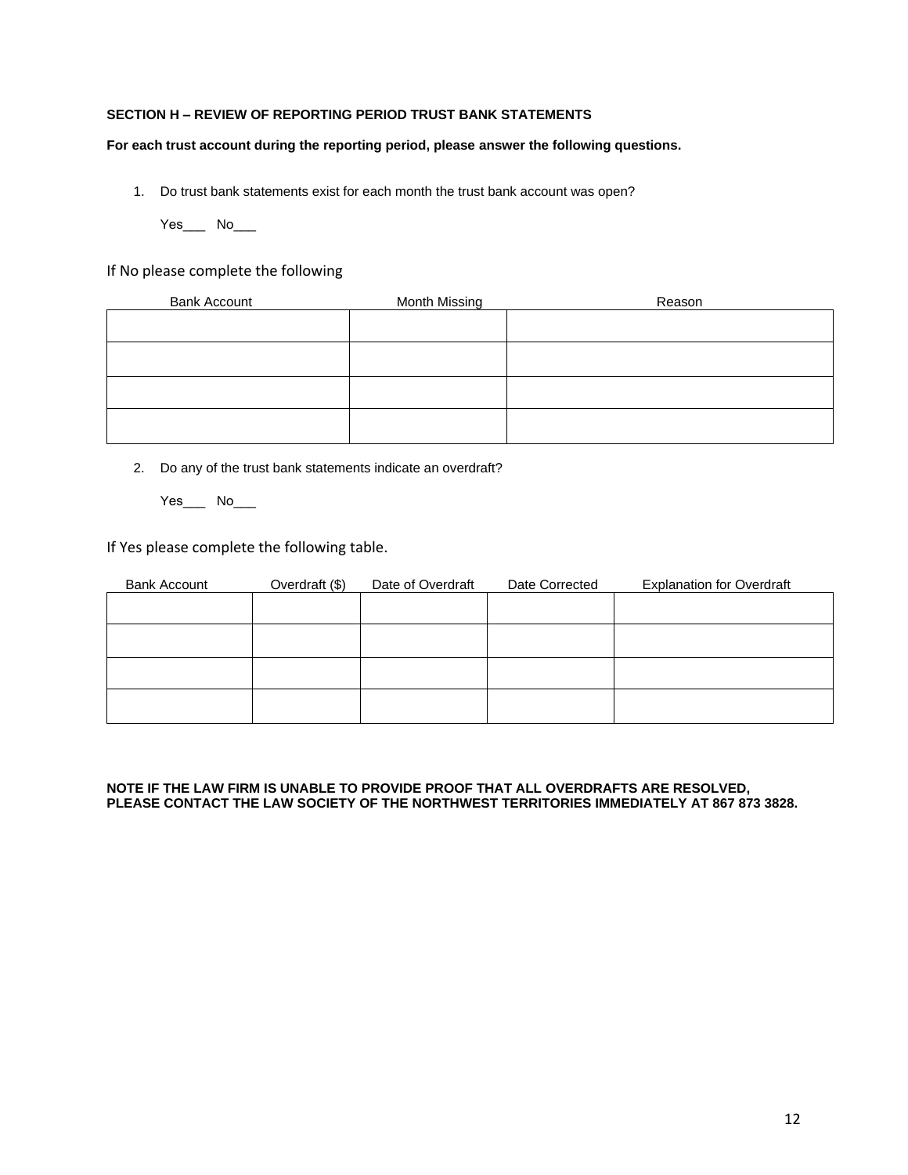# **SECTION H – REVIEW OF REPORTING PERIOD TRUST BANK STATEMENTS**

### **For each trust account during the reporting period, please answer the following questions.**

1. Do trust bank statements exist for each month the trust bank account was open?

Yes\_\_\_ No\_\_\_

# If No please complete the following

| <b>Bank Account</b> | Month Missing | Reason |
|---------------------|---------------|--------|
|                     |               |        |
|                     |               |        |
|                     |               |        |
|                     |               |        |
|                     |               |        |
|                     |               |        |
|                     |               |        |
|                     |               |        |

- 2. Do any of the trust bank statements indicate an overdraft?
	- Yes\_\_\_ No\_\_\_

If Yes please complete the following table.

| <b>Bank Account</b> | Overdraft (\$) | Date of Overdraft | Date Corrected | <b>Explanation for Overdraft</b> |
|---------------------|----------------|-------------------|----------------|----------------------------------|
|                     |                |                   |                |                                  |
|                     |                |                   |                |                                  |
|                     |                |                   |                |                                  |
|                     |                |                   |                |                                  |
|                     |                |                   |                |                                  |
|                     |                |                   |                |                                  |
|                     |                |                   |                |                                  |
|                     |                |                   |                |                                  |

**NOTE IF THE LAW FIRM IS UNABLE TO PROVIDE PROOF THAT ALL OVERDRAFTS ARE RESOLVED, PLEASE CONTACT THE LAW SOCIETY OF THE NORTHWEST TERRITORIES IMMEDIATELY AT 867 873 3828.**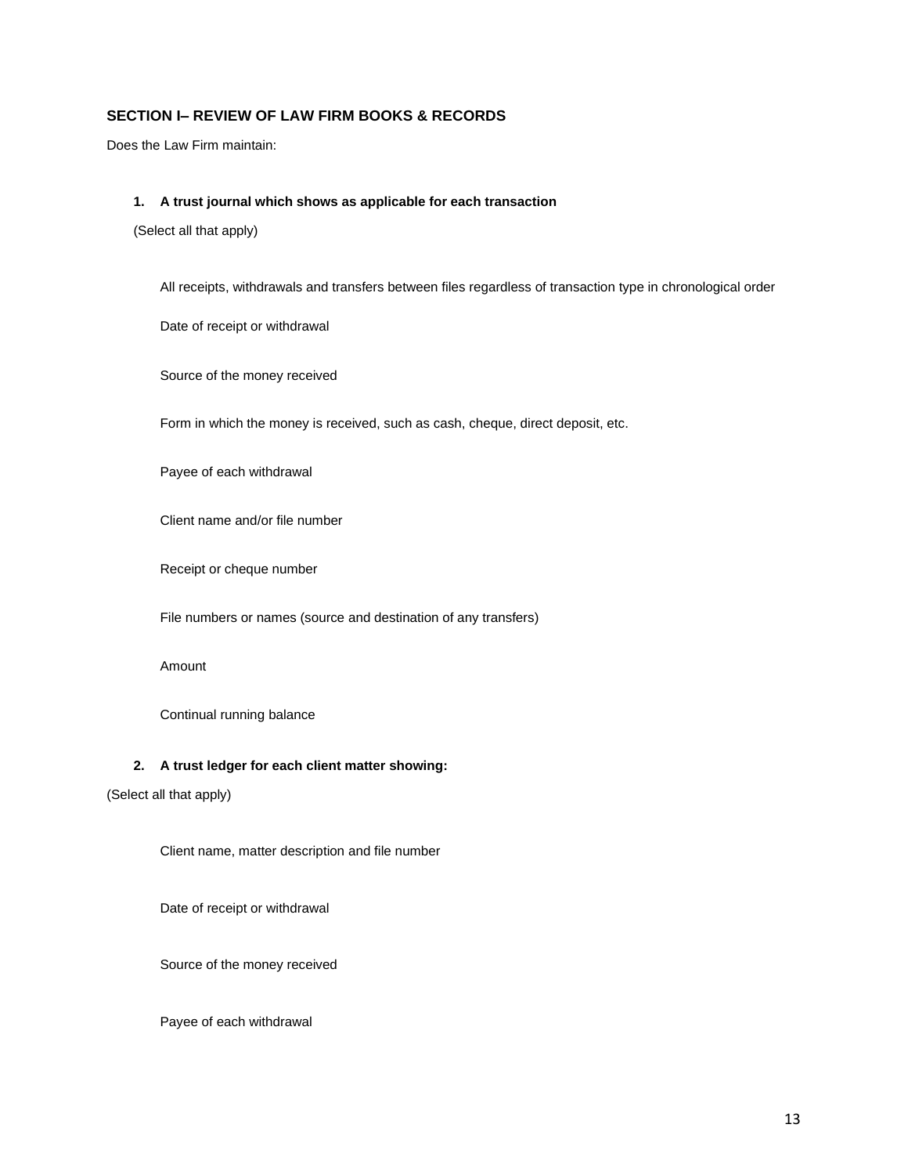# **SECTION I– REVIEW OF LAW FIRM BOOKS & RECORDS**

Does the Law Firm maintain:

#### **1. A trust journal which shows as applicable for each transaction**

(Select all that apply)

All receipts, withdrawals and transfers between files regardless of transaction type in chronological order

Date of receipt or withdrawal

Source of the money received

Form in which the money is received, such as cash, cheque, direct deposit, etc.

Payee of each withdrawal

Client name and/or file number

Receipt or cheque number

File numbers or names (source and destination of any transfers)

Amount

Continual running balance

### **2. A trust ledger for each client matter showing:**

(Select all that apply)

Client name, matter description and file number

Date of receipt or withdrawal

Source of the money received

Payee of each withdrawal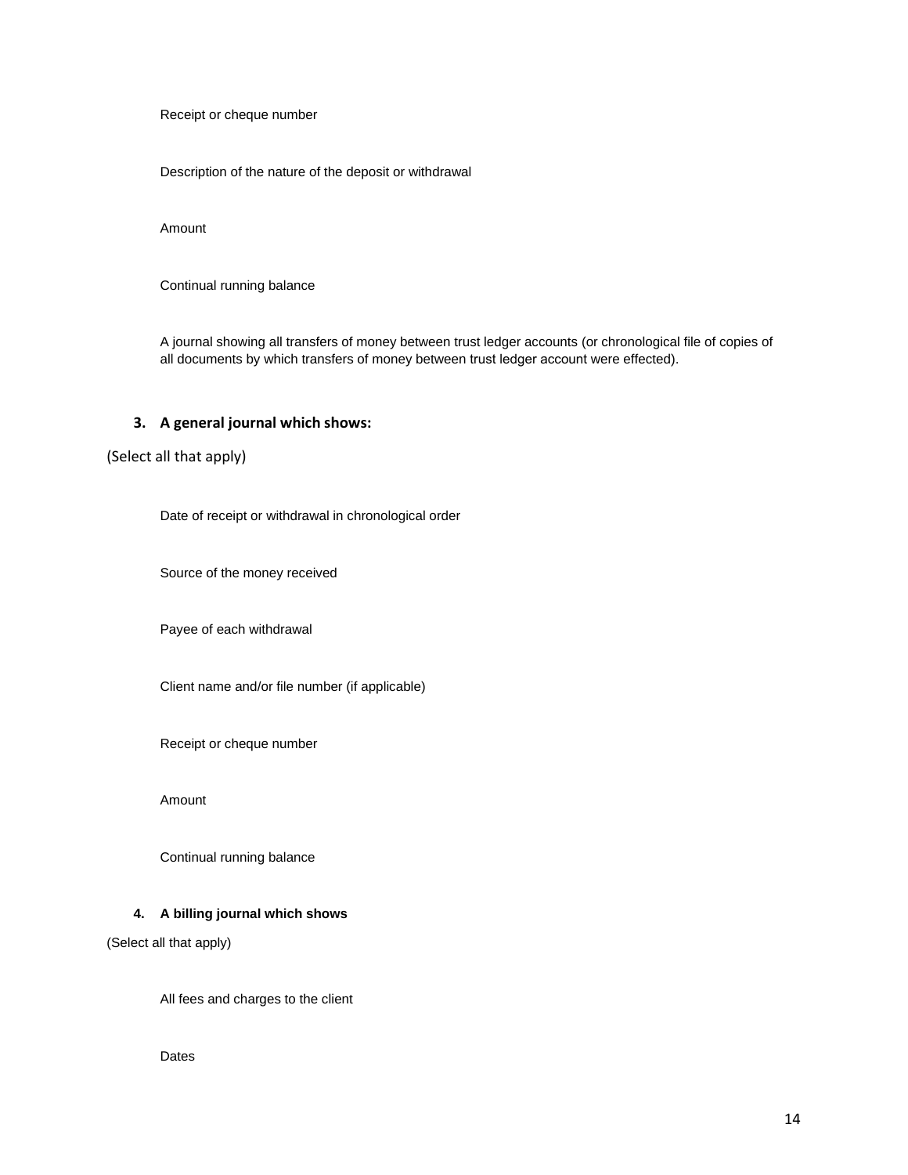Receipt or cheque number

Description of the nature of the deposit or withdrawal

Amount

Continual running balance

A journal showing all transfers of money between trust ledger accounts (or chronological file of copies of all documents by which transfers of money between trust ledger account were effected).

### **3. A general journal which shows:**

# (Select all that apply)

Date of receipt or withdrawal in chronological order

Source of the money received

Payee of each withdrawal

Client name and/or file number (if applicable)

Receipt or cheque number

Amount

Continual running balance

### **4. A billing journal which shows**

(Select all that apply)

All fees and charges to the client

Dates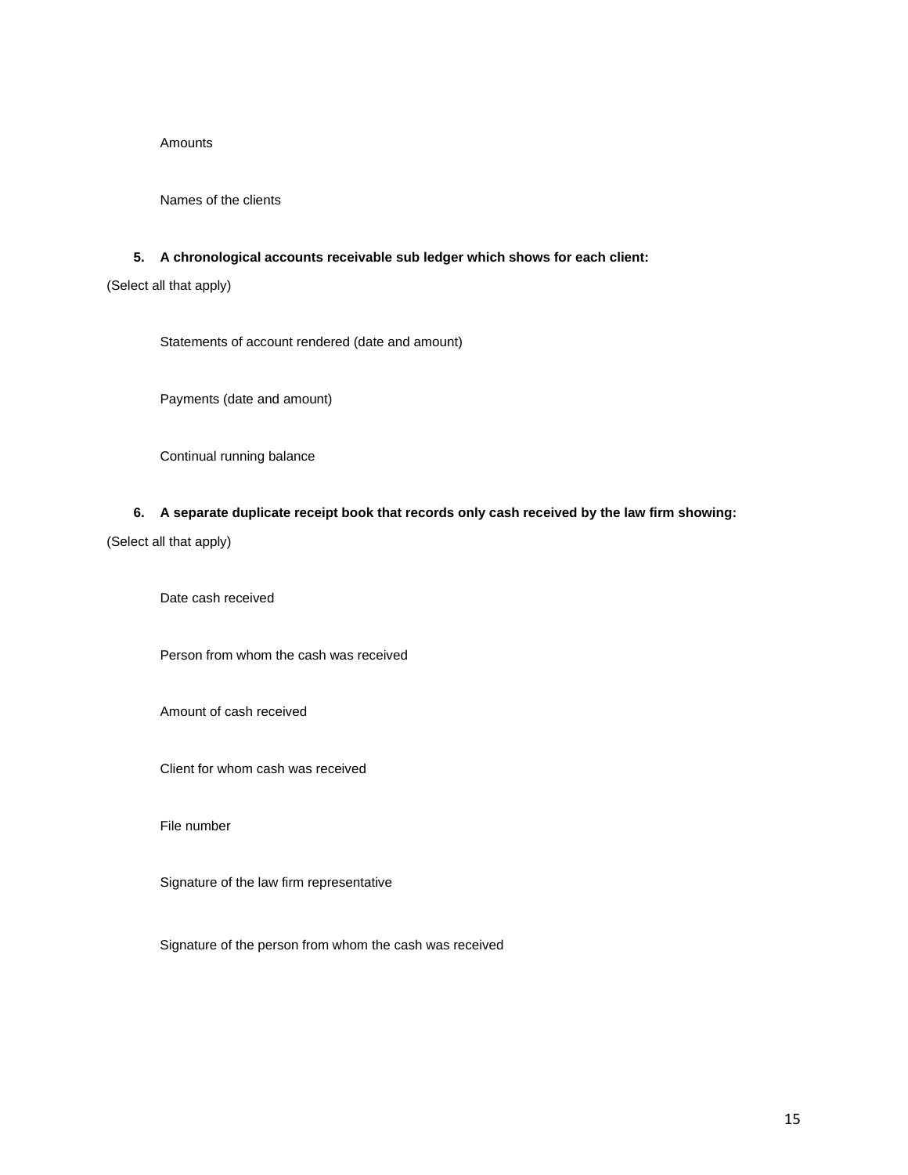#### **Amounts**

Names of the clients

#### **5. A chronological accounts receivable sub ledger which shows for each client:**

(Select all that apply)

Statements of account rendered (date and amount)

Payments (date and amount)

Continual running balance

### **6. A separate duplicate receipt book that records only cash received by the law firm showing:**

(Select all that apply)

Date cash received

Person from whom the cash was received

Amount of cash received

Client for whom cash was received

File number

Signature of the law firm representative

Signature of the person from whom the cash was received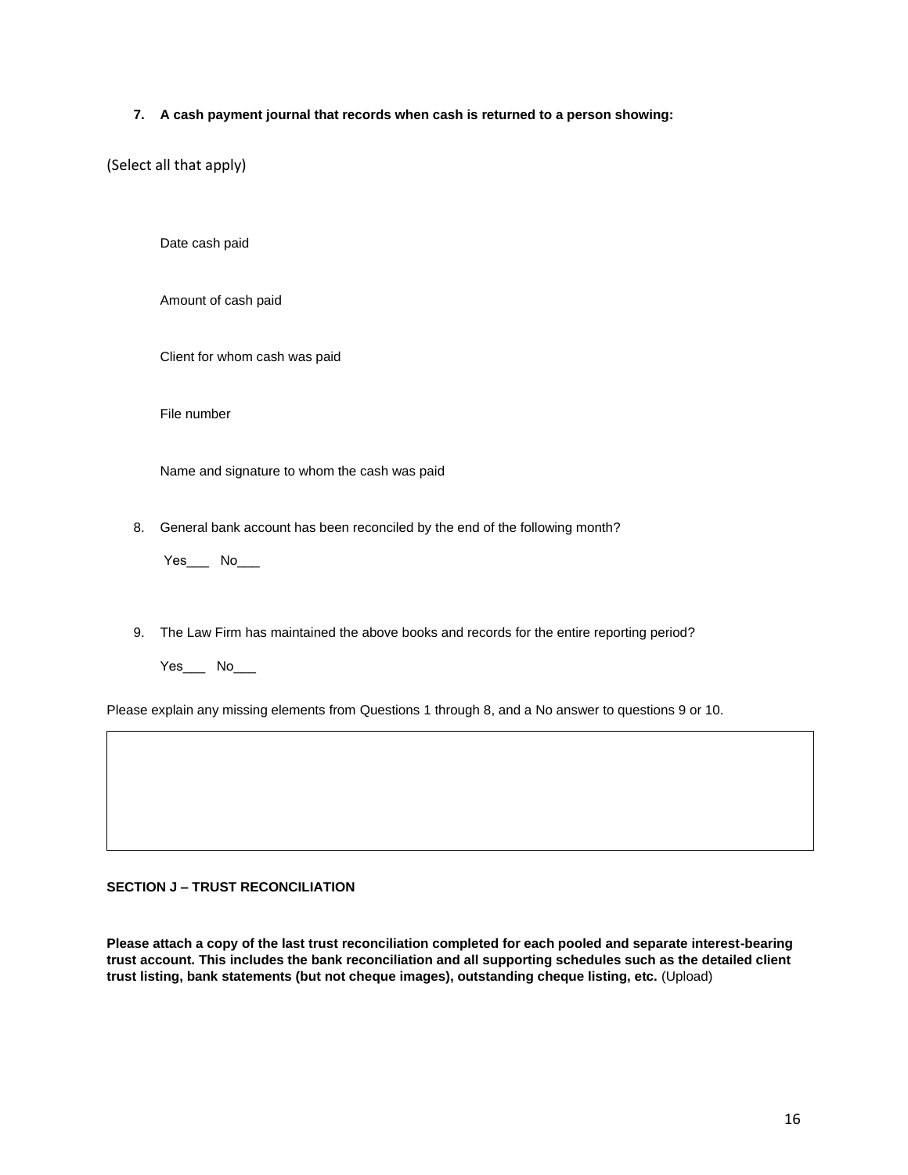### **7. A cash payment journal that records when cash is returned to a person showing:**

(Select all that apply)

Date cash paid

Amount of cash paid

Client for whom cash was paid

File number

Name and signature to whom the cash was paid

8. General bank account has been reconciled by the end of the following month?

Yes\_\_\_ No\_\_\_

9. The Law Firm has maintained the above books and records for the entire reporting period?

Yes\_\_\_ No\_\_\_

Please explain any missing elements from Questions 1 through 8, and a No answer to questions 9 or 10.

### **SECTION J – TRUST RECONCILIATION**

**Please attach a copy of the last trust reconciliation completed for each pooled and separate interest-bearing trust account. This includes the bank reconciliation and all supporting schedules such as the detailed client trust listing, bank statements (but not cheque images), outstanding cheque listing, etc.** (Upload)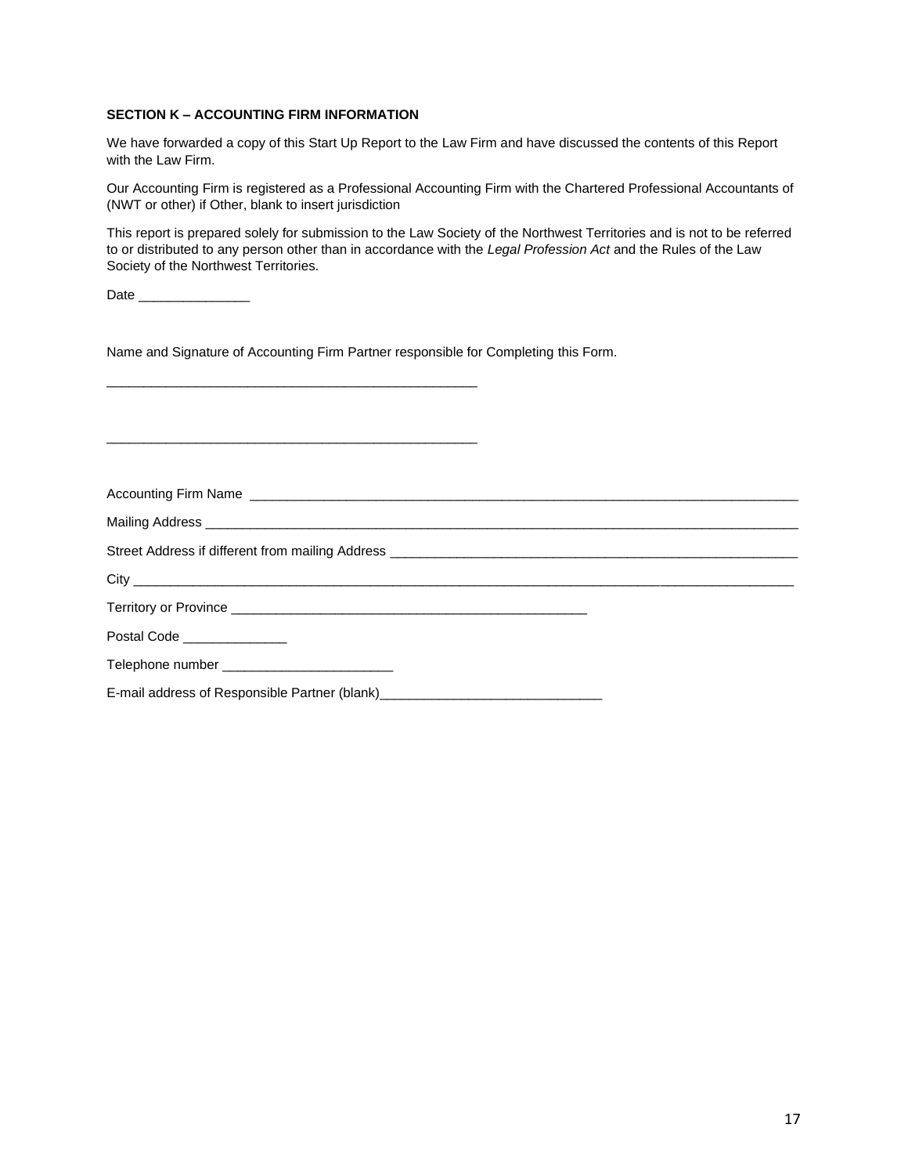### **SECTION K – ACCOUNTING FIRM INFORMATION**

We have forwarded a copy of this Start Up Report to the Law Firm and have discussed the contents of this Report with the Law Firm.

Our Accounting Firm is registered as a Professional Accounting Firm with the Chartered Professional Accountants of (NWT or other) if Other, blank to insert jurisdiction

This report is prepared solely for submission to the Law Society of the Northwest Territories and is not to be referred to or distributed to any person other than in accordance with the *Legal Profession Act* and the Rules of the Law Society of the Northwest Territories.

Date \_\_\_\_\_\_\_\_\_\_\_\_\_\_\_

Name and Signature of Accounting Firm Partner responsible for Completing this Form.

\_\_\_\_\_\_\_\_\_\_\_\_\_\_\_\_\_\_\_\_\_\_\_\_\_\_\_\_\_\_\_\_\_\_\_\_\_\_\_\_\_\_\_\_\_\_\_\_\_\_

| Postal Code ______________                                                       |  |
|----------------------------------------------------------------------------------|--|
|                                                                                  |  |
| E-mail address of Responsible Partner (blank) __________________________________ |  |
|                                                                                  |  |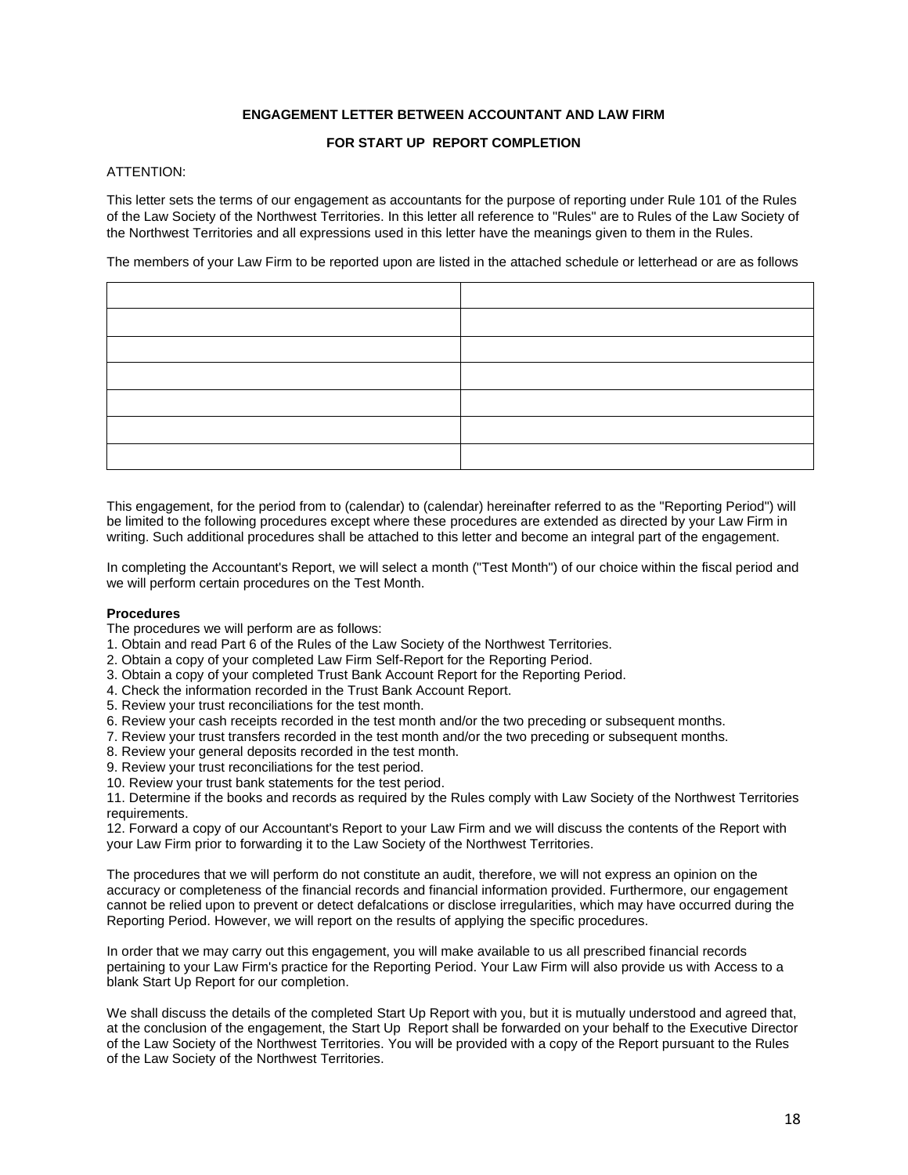### **ENGAGEMENT LETTER BETWEEN ACCOUNTANT AND LAW FIRM**

### **FOR START UP REPORT COMPLETION**

## ATTENTION:

This letter sets the terms of our engagement as accountants for the purpose of reporting under Rule 101 of the Rules of the Law Society of the Northwest Territories. In this letter all reference to "Rules" are to Rules of the Law Society of the Northwest Territories and all expressions used in this letter have the meanings given to them in the Rules.

The members of your Law Firm to be reported upon are listed in the attached schedule or letterhead or are as follows

This engagement, for the period from to (calendar) to (calendar) hereinafter referred to as the "Reporting Period") will be limited to the following procedures except where these procedures are extended as directed by your Law Firm in writing. Such additional procedures shall be attached to this letter and become an integral part of the engagement.

In completing the Accountant's Report, we will select a month ("Test Month") of our choice within the fiscal period and we will perform certain procedures on the Test Month.

#### **Procedures**

The procedures we will perform are as follows:

- 1. Obtain and read Part 6 of the Rules of the Law Society of the Northwest Territories.
- 2. Obtain a copy of your completed Law Firm Self-Report for the Reporting Period.
- 3. Obtain a copy of your completed Trust Bank Account Report for the Reporting Period.
- 4. Check the information recorded in the Trust Bank Account Report.
- 5. Review your trust reconciliations for the test month.
- 6. Review your cash receipts recorded in the test month and/or the two preceding or subsequent months.
- 7. Review your trust transfers recorded in the test month and/or the two preceding or subsequent months.
- 8. Review your general deposits recorded in the test month.
- 9. Review your trust reconciliations for the test period.
- 10. Review your trust bank statements for the test period.

11. Determine if the books and records as required by the Rules comply with Law Society of the Northwest Territories requirements.

12. Forward a copy of our Accountant's Report to your Law Firm and we will discuss the contents of the Report with your Law Firm prior to forwarding it to the Law Society of the Northwest Territories.

The procedures that we will perform do not constitute an audit, therefore, we will not express an opinion on the accuracy or completeness of the financial records and financial information provided. Furthermore, our engagement cannot be relied upon to prevent or detect defalcations or disclose irregularities, which may have occurred during the Reporting Period. However, we will report on the results of applying the specific procedures.

In order that we may carry out this engagement, you will make available to us all prescribed financial records pertaining to your Law Firm's practice for the Reporting Period. Your Law Firm will also provide us with Access to a blank Start Up Report for our completion.

We shall discuss the details of the completed Start Up Report with you, but it is mutually understood and agreed that, at the conclusion of the engagement, the Start Up Report shall be forwarded on your behalf to the Executive Director of the Law Society of the Northwest Territories. You will be provided with a copy of the Report pursuant to the Rules of the Law Society of the Northwest Territories.